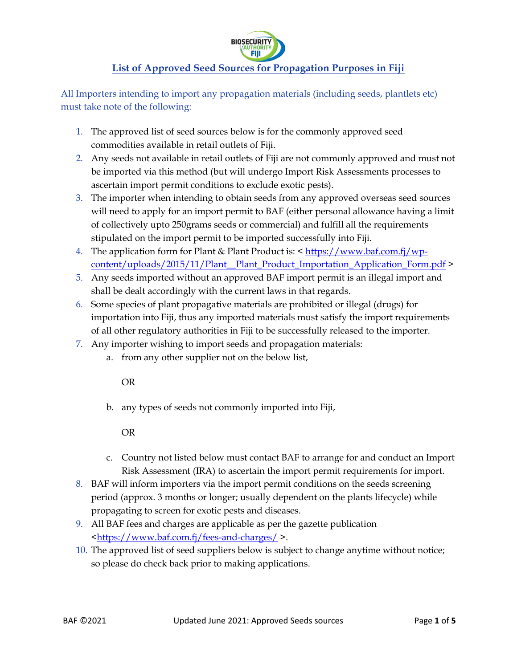

# **List of Approved Seed Sources for Propagation Purposes in Fiji**

All Importers intending to import any propagation materials (including seeds, plantlets etc) must take note of the following:

- 1. The approved list of seed sources below is for the commonly approved seed commodities available in retail outlets of Fiji.
- 2. Any seeds not available in retail outlets of Fiji are not commonly approved and must not be imported via this method (but will undergo Import Risk Assessments processes to ascertain import permit conditions to exclude exotic pests).
- 3. The importer when intending to obtain seeds from any approved overseas seed sources will need to apply for an import permit to BAF (either personal allowance having a limit of collectively upto 250grams seeds or commercial) and fulfill all the requirements stipulated on the import permit to be imported successfully into Fiji.
- 4. The application form for Plant & Plant Product is: < [https://www.baf.com.fj/wp](https://www.baf.com.fj/wp-content/uploads/2015/11/Plant__Plant_Product_Importation_Application_Form.pdf)[content/uploads/2015/11/Plant\\_\\_Plant\\_Product\\_Importation\\_Application\\_Form.pdf](https://www.baf.com.fj/wp-content/uploads/2015/11/Plant__Plant_Product_Importation_Application_Form.pdf) >
- 5. Any seeds imported without an approved BAF import permit is an illegal import and shall be dealt accordingly with the current laws in that regards.
- 6. Some species of plant propagative materials are prohibited or illegal (drugs) for importation into Fiji, thus any imported materials must satisfy the import requirements of all other regulatory authorities in Fiji to be successfully released to the importer.
- 7. Any importer wishing to import seeds and propagation materials:
	- a. from any other supplier not on the below list,

OR

b. any types of seeds not commonly imported into Fiji,

OR

- c. Country not listed below must contact BAF to arrange for and conduct an Import Risk Assessment (IRA) to ascertain the import permit requirements for import.
- 8. BAF will inform importers via the import permit conditions on the seeds screening period (approx. 3 months or longer; usually dependent on the plants lifecycle) while propagating to screen for exotic pests and diseases.
- 9. All BAF fees and charges are applicable as per the gazette publication [<https://www.baf.com.fj/fees-and-charges/](https://www.baf.com.fj/fees-and-charges/) >.
- 10. The approved list of seed suppliers below is subject to change anytime without notice; so please do check back prior to making applications.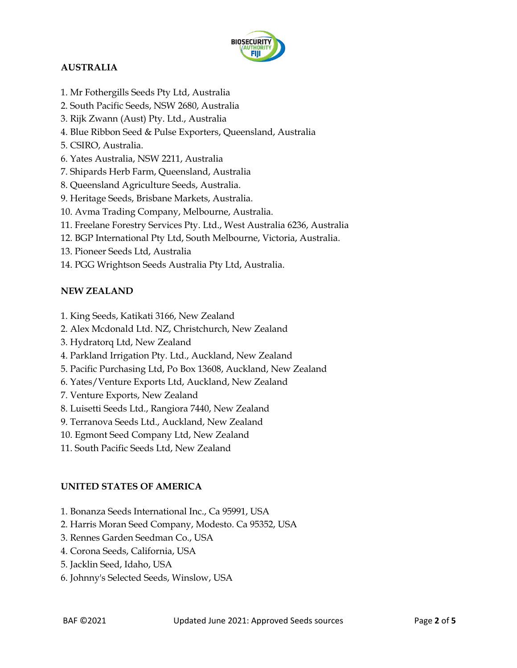

# **AUSTRALIA**

- 1. Mr Fothergills Seeds Pty Ltd, Australia
- 2. South Pacific Seeds, NSW 2680, Australia
- 3. Rijk Zwann (Aust) Pty. Ltd., Australia
- 4. Blue Ribbon Seed & Pulse Exporters, Queensland, Australia
- 5. CSIRO, Australia.
- 6. Yates Australia, NSW 2211, Australia
- 7. Shipards Herb Farm, Queensland, Australia
- 8. Queensland Agriculture Seeds, Australia.
- 9. Heritage Seeds, Brisbane Markets, Australia.
- 10. Avma Trading Company, Melbourne, Australia.
- 11. Freelane Forestry Services Pty. Ltd., West Australia 6236, Australia
- 12. BGP International Pty Ltd, South Melbourne, Victoria, Australia.
- 13. Pioneer Seeds Ltd, Australia
- 14. PGG Wrightson Seeds Australia Pty Ltd, Australia.

### **NEW ZEALAND**

- 1. King Seeds, Katikati 3166, New Zealand
- 2. Alex Mcdonald Ltd. NZ, Christchurch, New Zealand
- 3. Hydratorq Ltd, New Zealand
- 4. Parkland Irrigation Pty. Ltd., Auckland, New Zealand
- 5. Pacific Purchasing Ltd, Po Box 13608, Auckland, New Zealand
- 6. Yates/Venture Exports Ltd, Auckland, New Zealand
- 7. Venture Exports, New Zealand
- 8. Luisetti Seeds Ltd., Rangiora 7440, New Zealand
- 9. Terranova Seeds Ltd., Auckland, New Zealand
- 10. Egmont Seed Company Ltd, New Zealand
- 11. South Pacific Seeds Ltd, New Zealand

## **UNITED STATES OF AMERICA**

- 1. Bonanza Seeds International Inc., Ca 95991, USA
- 2. Harris Moran Seed Company, Modesto. Ca 95352, USA
- 3. Rennes Garden Seedman Co., USA
- 4. Corona Seeds, California, USA
- 5. Jacklin Seed, Idaho, USA
- 6. Johnny's Selected Seeds, Winslow, USA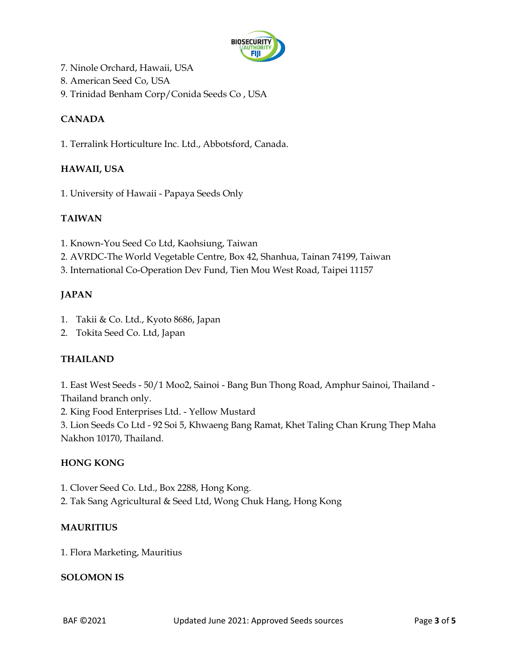

- 7. Ninole Orchard, Hawaii, USA
- 8. American Seed Co, USA
- 9. Trinidad Benham Corp/Conida Seeds Co , USA

# **CANADA**

1. Terralink Horticulture Inc. Ltd., Abbotsford, Canada.

### **HAWAII, USA**

1. University of Hawaii - Papaya Seeds Only

### **TAIWAN**

- 1. Known-You Seed Co Ltd, Kaohsiung, Taiwan
- 2. AVRDC-The World Vegetable Centre, Box 42, Shanhua, Tainan 74199, Taiwan
- 3. International Co-Operation Dev Fund, Tien Mou West Road, Taipei 11157

## **JAPAN**

- 1. Takii & Co. Ltd., Kyoto 8686, Japan
- 2. Tokita Seed Co. Ltd, Japan

## **THAILAND**

1. East West Seeds - 50/1 Moo2, Sainoi - Bang Bun Thong Road, Amphur Sainoi, Thailand - Thailand branch only.

2. King Food Enterprises Ltd. - Yellow Mustard

3. Lion Seeds Co Ltd - 92 Soi 5, Khwaeng Bang Ramat, Khet Taling Chan Krung Thep Maha Nakhon 10170, Thailand.

#### **HONG KONG**

- 1. Clover Seed Co. Ltd., Box 2288, Hong Kong.
- 2. Tak Sang Agricultural & Seed Ltd, Wong Chuk Hang, Hong Kong

#### **MAURITIUS**

1. Flora Marketing, Mauritius

#### **SOLOMON IS**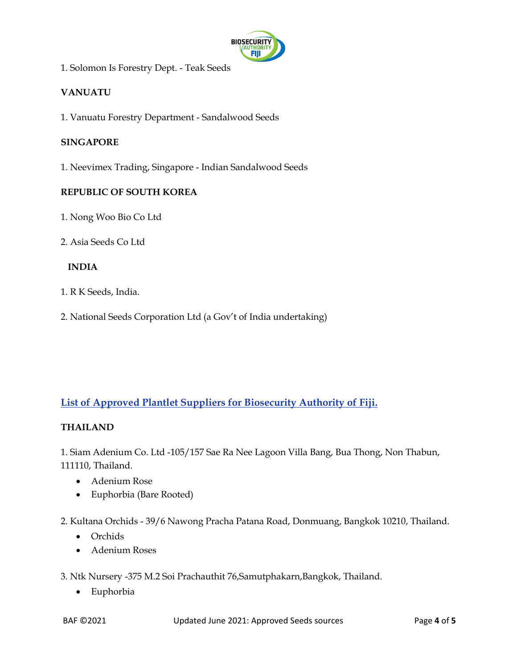

1. Solomon Is Forestry Dept. - Teak Seeds

## **VANUATU**

1. Vanuatu Forestry Department - Sandalwood Seeds

#### **SINGAPORE**

1. Neevimex Trading, Singapore - Indian Sandalwood Seeds

#### **REPUBLIC OF SOUTH KOREA**

- 1. Nong Woo Bio Co Ltd
- 2. Asia Seeds Co Ltd

#### **INDIA**

- 1. R K Seeds, India.
- 2. National Seeds Corporation Ltd (a Gov't of India undertaking)

## **List of Approved Plantlet Suppliers for Biosecurity Authority of Fiji.**

#### **THAILAND**

1. Siam Adenium Co. Ltd -105/157 Sae Ra Nee Lagoon Villa Bang, Bua Thong, Non Thabun, 111110, Thailand.

- Adenium Rose
- Euphorbia (Bare Rooted)
- 2. Kultana Orchids 39/6 Nawong Pracha Patana Road, Donmuang, Bangkok 10210, Thailand.
	- Orchids
	- Adenium Roses
- 3. Ntk Nursery -375 M.2 Soi Prachauthit 76,Samutphakarn,Bangkok, Thailand.
	- Euphorbia